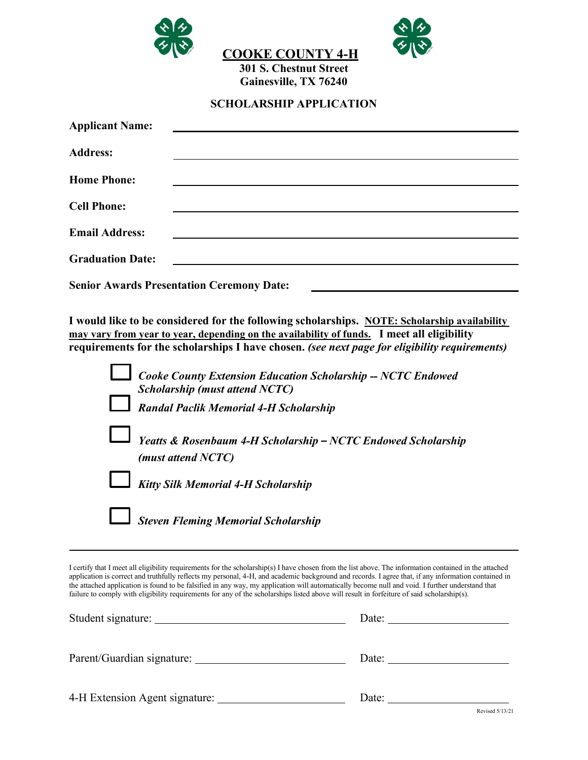

**SCHOLARSHIP APPLICATION**

| <b>Applicant Name:</b>  |                                                  |  |
|-------------------------|--------------------------------------------------|--|
| <b>Address:</b>         |                                                  |  |
| <b>Home Phone:</b>      |                                                  |  |
| <b>Cell Phone:</b>      |                                                  |  |
| <b>Email Address:</b>   |                                                  |  |
| <b>Graduation Date:</b> |                                                  |  |
|                         | <b>Senior Awards Presentation Ceremony Date:</b> |  |

**I would like to be considered for the following scholarships. NOTE: Scholarship availability may vary from year to year, depending on the availability of funds. I meet all eligibility requirements for the scholarships I have chosen.** *(see next page for eligibility requirements)*

| <b>Cooke County Extension Education Scholarship -- NCTC Endowed</b><br><b>Scholarship (must attend NCTC)</b> |
|--------------------------------------------------------------------------------------------------------------|
| <b>Randal Paclik Memorial 4-H Scholarship</b>                                                                |
| Yeatts & Rosenbaum 4-H Scholarship - NCTC Endowed Scholarship<br>(must attend NCTC)                          |
| <b>Kitty Silk Memorial 4-H Scholarship</b>                                                                   |
| <b>Steven Fleming Memorial Scholarship</b>                                                                   |

I certify that I meet all eligibility requirements for the scholarship(s) I have chosen from the list above. The information contained in the attached application is correct and truthfully reflects my personal, 4-H, and academic background and records. I agree that, if any information contained in the attached application is found to be falsified in any way, my application will automatically become null and void. I further understand that failure to comply with eligibility requirements for any of the scholarships listed above will result in forfeiture of said scholarship(s).

| Student signature:             | Date: |
|--------------------------------|-------|
| Parent/Guardian signature:     | Date: |
| 4-H Extension Agent signature: | Date: |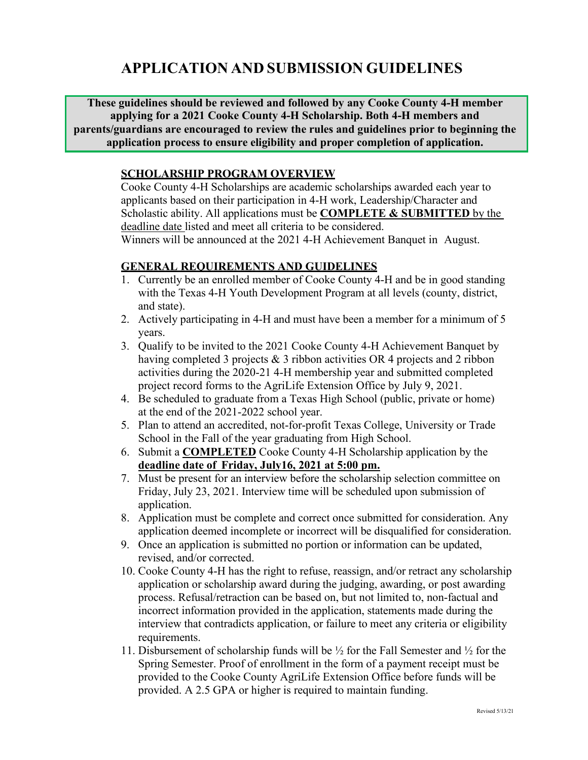# **APPLICATION AND SUBMISSION GUIDELINES**

**These guidelines should be reviewed and followed by any Cooke County 4-H member applying for a 2021 Cooke County 4-H Scholarship. Both 4-H members and parents/guardians are encouraged to review the rules and guidelines prior to beginning the application process to ensure eligibility and proper completion of application.**

#### **SCHOLARSHIP PROGRAM OVERVIEW**

Cooke County 4-H Scholarships are academic scholarships awarded each year to applicants based on their participation in 4-H work, Leadership/Character and Scholastic ability. All applications must be **COMPLETE & SUBMITTED** by the deadline date listed and meet all criteria to be considered.

Winners will be announced at the 2021 4-H Achievement Banquet in August.

#### **GENERAL REQUIREMENTS AND GUIDELINES**

- 1. Currently be an enrolled member of Cooke County 4-H and be in good standing with the Texas 4-H Youth Development Program at all levels (county, district, and state).
- 2. Actively participating in 4-H and must have been a member for a minimum of 5 years.
- 3. Qualify to be invited to the 2021 Cooke County 4-H Achievement Banquet by having completed 3 projects & 3 ribbon activities OR 4 projects and 2 ribbon activities during the 2020-21 4-H membership year and submitted completed project record forms to the AgriLife Extension Office by July 9, 2021.
- 4. Be scheduled to graduate from a Texas High School (public, private or home) at the end of the 2021-2022 school year.
- 5. Plan to attend an accredited, not-for-profit Texas College, University or Trade School in the Fall of the year graduating from High School.
- 6. Submit a **COMPLETED** Cooke County 4-H Scholarship application by the **deadline date of Friday, July16, 2021 at 5:00 pm.**
- 7. Must be present for an interview before the scholarship selection committee on Friday, July 23, 2021. Interview time will be scheduled upon submission of application.
- 8. Application must be complete and correct once submitted for consideration. Any application deemed incomplete or incorrect will be disqualified for consideration.
- 9. Once an application is submitted no portion or information can be updated, revised, and/or corrected.
- 10. Cooke County 4-H has the right to refuse, reassign, and/or retract any scholarship application or scholarship award during the judging, awarding, or post awarding process. Refusal/retraction can be based on, but not limited to, non-factual and incorrect information provided in the application, statements made during the interview that contradicts application, or failure to meet any criteria or eligibility requirements.
- 11. Disbursement of scholarship funds will be ½ for the Fall Semester and ½ for the Spring Semester. Proof of enrollment in the form of a payment receipt must be provided to the Cooke County AgriLife Extension Office before funds will be provided. A 2.5 GPA or higher is required to maintain funding.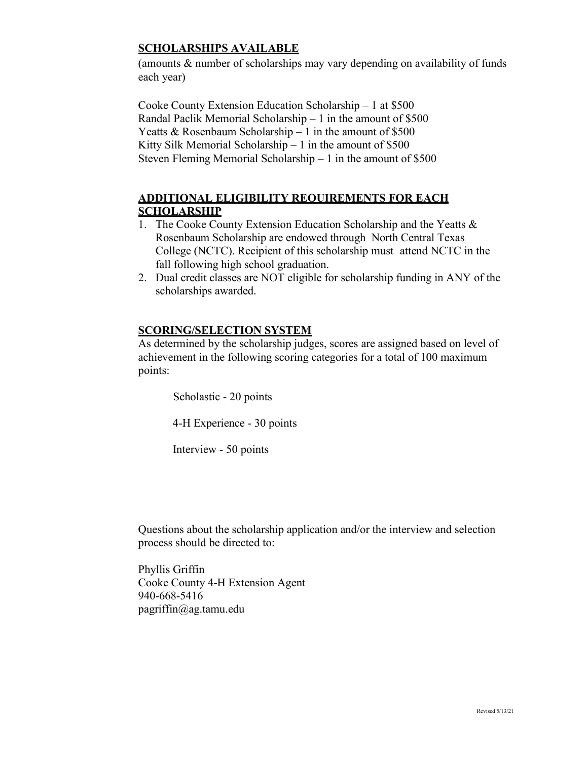### **SCHOLARSHIPS AVAILABLE**

(amounts & number of scholarships may vary depending on availability of funds each year)

Cooke County Extension Education Scholarship – 1 at \$500 Randal Paclik Memorial Scholarship – 1 in the amount of \$500 Yeatts & Rosenbaum Scholarship – 1 in the amount of  $$500$ Kitty Silk Memorial Scholarship  $-1$  in the amount of \$500 Steven Fleming Memorial Scholarship – 1 in the amount of \$500

### **ADDITIONAL ELIGIBILITY REQUIREMENTS FOR EACH SCHOLARSHIP**

- 1. The Cooke County Extension Education Scholarship and the Yeatts & Rosenbaum Scholarship are endowed through North Central Texas College (NCTC). Recipient of this scholarship must attend NCTC in the fall following high school graduation.
- 2. Dual credit classes are NOT eligible for scholarship funding in ANY of the scholarships awarded.

### **SCORING/SELECTION SYSTEM**

As determined by the scholarship judges, scores are assigned based on level of achievement in the following scoring categories for a total of 100 maximum points:

Scholastic - 20 points

4-H Experience - 30 points

Interview - 50 points

Questions about the scholarship application and/or the interview and selection process should be directed to:

Phyllis Griffin Cooke County 4-H Extension Agent 940-668-5416 [pagriffin@ag.tamu.edu](mailto:pagriffin@ag.tamu.edu)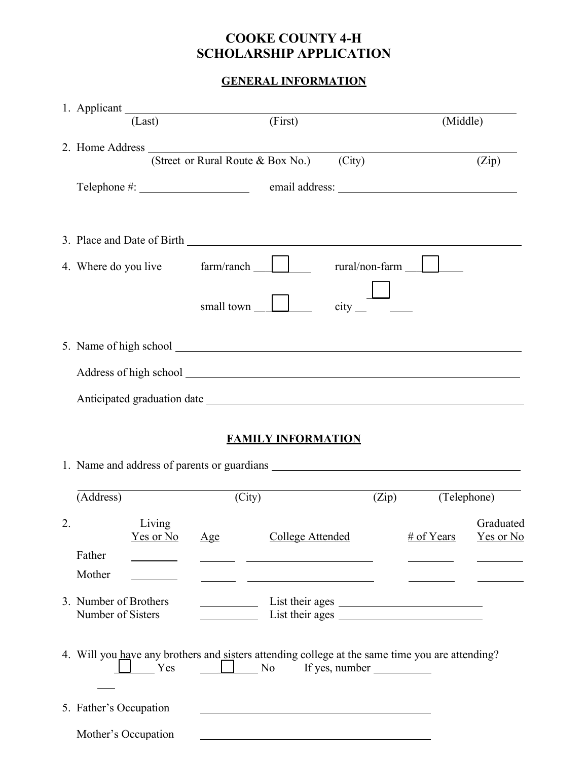## **COOKE COUNTY 4-H SCHOLARSHIP APPLICATION**

# **GENERAL INFORMATION**

|    | (Last)                                                                                                 |                | (First)                                                                                                                                                                                                                       | (Middle)         |                               |
|----|--------------------------------------------------------------------------------------------------------|----------------|-------------------------------------------------------------------------------------------------------------------------------------------------------------------------------------------------------------------------------|------------------|-------------------------------|
|    | 2. Home Address $\frac{1}{(3.00 \text{ K})^2}$ (Street or Rural Route & Box No.)                       |                | (City)                                                                                                                                                                                                                        |                  | (Zip)                         |
|    |                                                                                                        |                | email address: Note and the set of the set of the set of the set of the set of the set of the set of the set of the set of the set of the set of the set of the set of the set of the set of the set of the set of the set of |                  |                               |
|    |                                                                                                        |                |                                                                                                                                                                                                                               |                  |                               |
|    |                                                                                                        |                |                                                                                                                                                                                                                               | $rural/non-farm$ |                               |
|    |                                                                                                        | small town     |                                                                                                                                                                                                                               |                  |                               |
|    |                                                                                                        |                |                                                                                                                                                                                                                               |                  |                               |
|    |                                                                                                        |                |                                                                                                                                                                                                                               |                  |                               |
|    |                                                                                                        |                |                                                                                                                                                                                                                               |                  |                               |
|    |                                                                                                        |                | <b>FAMILY INFORMATION</b>                                                                                                                                                                                                     |                  |                               |
|    |                                                                                                        |                |                                                                                                                                                                                                                               |                  |                               |
|    | (Address)                                                                                              | (City)         |                                                                                                                                                                                                                               | (Zip)            | (Telephone)                   |
| 2. | Living<br><u>Yes or No</u>                                                                             | $\mathbf{Age}$ | <b>College Attended</b>                                                                                                                                                                                                       | # of Years       | Graduated<br><u>Yes or No</u> |
|    | Father<br>Mother                                                                                       |                | the contract of the contract of the contract of the contract of the contract of                                                                                                                                               |                  |                               |
|    | 3. Number of Brothers<br>Number of Sisters                                                             |                | List their ages                                                                                                                                                                                                               |                  |                               |
|    | 4. Will you have any brothers and sisters attending college at the same time you are attending?<br>Yes | $\Box$ No      | If yes, number                                                                                                                                                                                                                |                  |                               |
|    | 5. Father's Occupation                                                                                 |                |                                                                                                                                                                                                                               |                  |                               |
|    | Mother's Occupation                                                                                    |                |                                                                                                                                                                                                                               |                  |                               |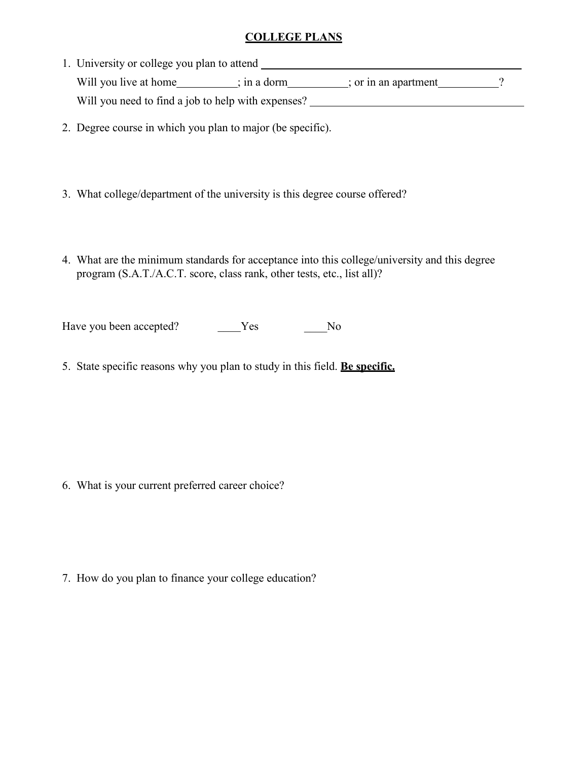#### **COLLEGE PLANS**

- 1. University or college you plan to attend Will you live at home ; in a dorm ; or in an apartment ? Will you need to find a job to help with expenses?
- 2. Degree course in which you plan to major (be specific).
- 3. What college/department of the university is this degree course offered?
- 4. What are the minimum standards for acceptance into this college/university and this degree program (S.A.T./A.C.T. score, class rank, other tests, etc., list all)?

\_\_\_\_ Have you been accepted? The Mess Theorem 2012

5. State specific reasons why you plan to study in this field. **Be specific.**

6. What is your current preferred career choice?

7. How do you plan to finance your college education?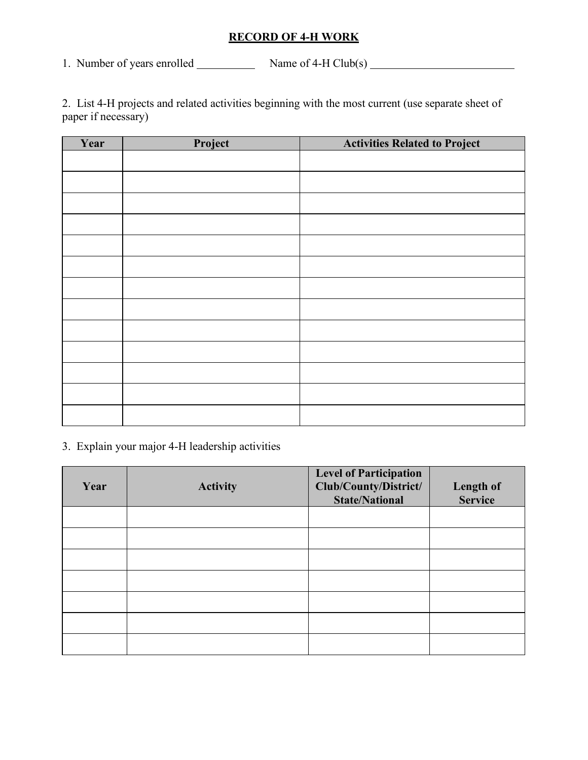### **RECORD OF 4-H WORK**

1. Number of years enrolled  $\frac{N_{\text{amp}}}{N_{\text{amp}}}$  Name of 4-H Club(s)  $\frac{N_{\text{amp}}}{N_{\text{amp}}}$ 

2. List 4-H projects and related activities beginning with the most current (use separate sheet of paper if necessary)

| Year | Project | <b>Activities Related to Project</b> |
|------|---------|--------------------------------------|
|      |         |                                      |
|      |         |                                      |
|      |         |                                      |
|      |         |                                      |
|      |         |                                      |
|      |         |                                      |
|      |         |                                      |
|      |         |                                      |
|      |         |                                      |
|      |         |                                      |
|      |         |                                      |
|      |         |                                      |
|      |         |                                      |

3. Explain your major 4-H leadership activities

| Year | <b>Activity</b> | <b>Level of Participation</b><br>Club/County/District/<br><b>State/National</b> | Length of<br><b>Service</b> |
|------|-----------------|---------------------------------------------------------------------------------|-----------------------------|
|      |                 |                                                                                 |                             |
|      |                 |                                                                                 |                             |
|      |                 |                                                                                 |                             |
|      |                 |                                                                                 |                             |
|      |                 |                                                                                 |                             |
|      |                 |                                                                                 |                             |
|      |                 |                                                                                 |                             |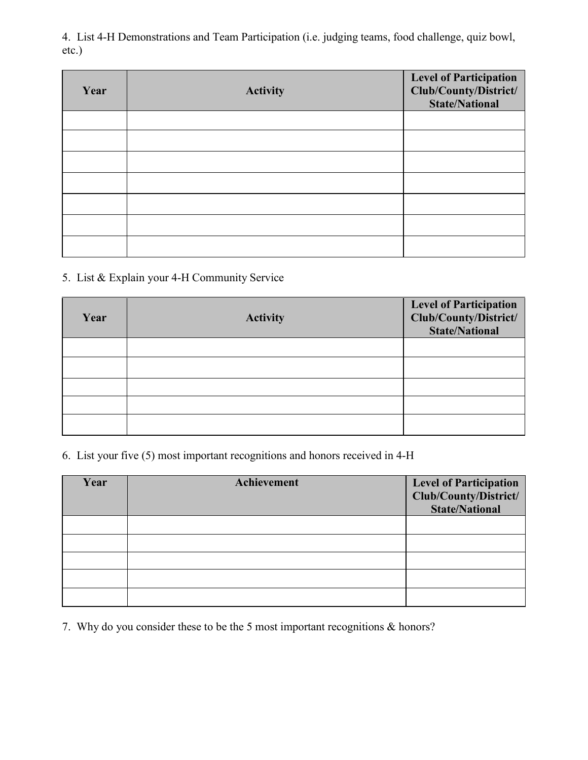4. List 4-H Demonstrations and Team Participation (i.e. judging teams, food challenge, quiz bowl, etc.)

| Year | <b>Activity</b> | <b>Level of Participation<br/>Club/County/District/</b><br><b>State/National</b> |
|------|-----------------|----------------------------------------------------------------------------------|
|      |                 |                                                                                  |
|      |                 |                                                                                  |
|      |                 |                                                                                  |
|      |                 |                                                                                  |
|      |                 |                                                                                  |
|      |                 |                                                                                  |
|      |                 |                                                                                  |

### 5. List & Explain your 4-H Community Service

| Year | <b>Activity</b> | Level of Participation<br>Club/County/District/<br><b>State/National</b> |
|------|-----------------|--------------------------------------------------------------------------|
|      |                 |                                                                          |
|      |                 |                                                                          |
|      |                 |                                                                          |
|      |                 |                                                                          |
|      |                 |                                                                          |

6. List your five (5) most important recognitions and honors received in 4-H

| Year | Achievement | <b>Level of Participation</b><br>Club/County/District/<br><b>State/National</b> |
|------|-------------|---------------------------------------------------------------------------------|
|      |             |                                                                                 |
|      |             |                                                                                 |
|      |             |                                                                                 |
|      |             |                                                                                 |
|      |             |                                                                                 |

7. Why do you consider these to be the 5 most important recognitions & honors?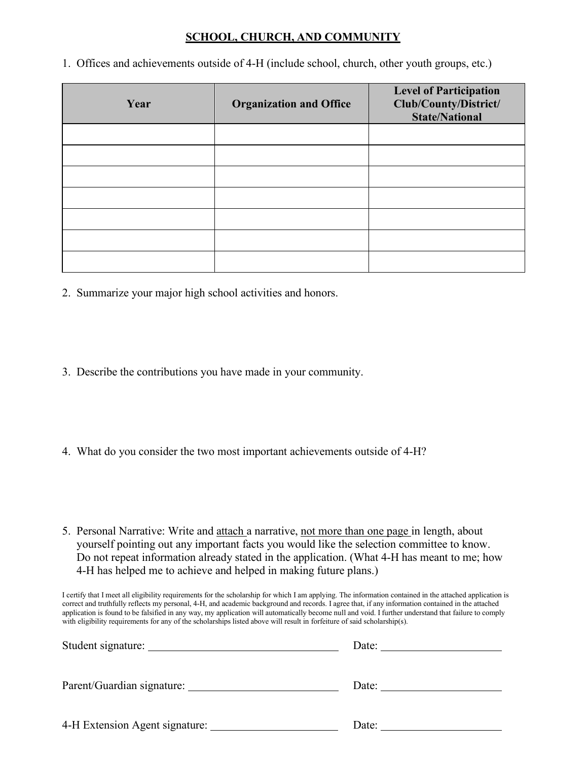#### **SCHOOL, CHURCH, AND COMMUNITY**

1. Offices and achievements outside of 4-H (include school, church, other youth groups, etc.)

| Year | <b>Organization and Office</b> | <b>Level of Participation</b><br>Club/County/District/<br><b>State/National</b> |
|------|--------------------------------|---------------------------------------------------------------------------------|
|      |                                |                                                                                 |
|      |                                |                                                                                 |
|      |                                |                                                                                 |
|      |                                |                                                                                 |
|      |                                |                                                                                 |
|      |                                |                                                                                 |
|      |                                |                                                                                 |

- 2. Summarize your major high school activities and honors.
- 3. Describe the contributions you have made in your community.
- 4. What do you consider the two most important achievements outside of 4-H?
- 5. Personal Narrative: Write and attach a narrative, not more than one page in length, about yourself pointing out any important facts you would like the selection committee to know. Do not repeat information already stated in the application. (What 4-H has meant to me; how 4-H has helped me to achieve and helped in making future plans.)

I certify that I meet all eligibility requirements for the scholarship for which I am applying. The information contained in the attached application is correct and truthfully reflects my personal, 4-H, and academic background and records. I agree that, if any information contained in the attached application is found to be falsified in any way, my application will automatically become null and void. I further understand that failure to comply with eligibility requirements for any of the scholarships listed above will result in forfeiture of said scholarship(s).

| Student signature:                    | Date: |
|---------------------------------------|-------|
| Parent/Guardian signature: __________ | Date: |
| 4-H Extension Agent signature:        | Date: |